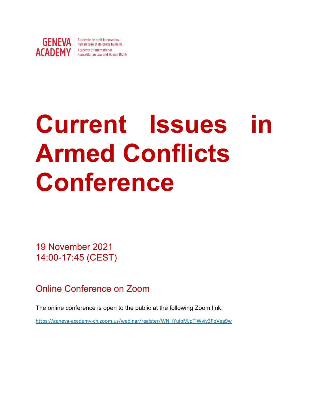

**GENEVA** | Académie de droit international ACADEMY | Academy of International

# **Current Issues in Armed Conflicts Conference**

19 November 2021 14:00-17:45 (CEST)

Online Conference on Zoom

The online conference is open to the public at the following Zoom link:

https://geneva-academy-ch.zoom.us/webinar/register/WN\_iYuipMJpTjWyiy3PqVea9w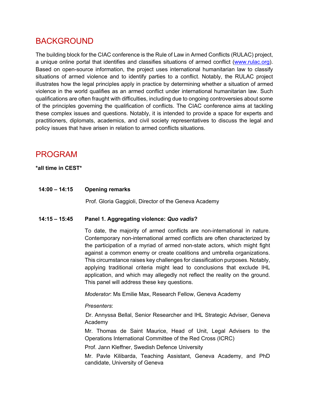## BACKGROUND

The building block for the CIAC conference is the Rule of Law in Armed Conflicts (RULAC) project, a unique online portal that identifies and classifies situations of armed conflict (www.rulac.org). Based on open-source information, the project uses international humanitarian law to classify situations of armed violence and to identify parties to a conflict. Notably, the RULAC project illustrates how the legal principles apply in practice by determining whether a situation of armed violence in the world qualifies as an armed conflict under international humanitarian law. Such qualifications are often fraught with difficulties, including due to ongoing controversies about some of the principles governing the qualification of conflicts. The CIAC conference aims at tackling these complex issues and questions. Notably, it is intended to provide a space for experts and practitioners, diplomats, academics, and civil society representatives to discuss the legal and policy issues that have arisen in relation to armed conflicts situations.

### PROGRAM

#### **\*all time in CEST\***

**14:00 – 14:15 Opening remarks** 

Prof. Gloria Gaggioli, Director of the Geneva Academy

#### **14:15 – 15:45 Panel 1. Aggregating violence:** *Quo vadis***?**

To date, the majority of armed conflicts are non-international in nature. Contemporary non-international armed conflicts are often characterized by the participation of a myriad of armed non-state actors, which might fight against a common enemy or create coalitions and umbrella organizations. This circumstance raises key challenges for classification purposes. Notably, applying traditional criteria might lead to conclusions that exclude IHL application, and which may allegedly not reflect the reality on the ground. This panel will address these key questions.

*Moderator*: Ms Emilie Max, Research Fellow, Geneva Academy

#### *Presenters*:

Dr. Annyssa Bellal, Senior Researcher and IHL Strategic Adviser, Geneva Academy

Mr. Thomas de Saint Maurice, Head of Unit, Legal Advisers to the Operations International Committee of the Red Cross (ICRC)

Prof. Jann Kleffner, Swedish Defence University

Mr. Pavle Kilibarda, Teaching Assistant, Geneva Academy, and PhD candidate, University of Geneva